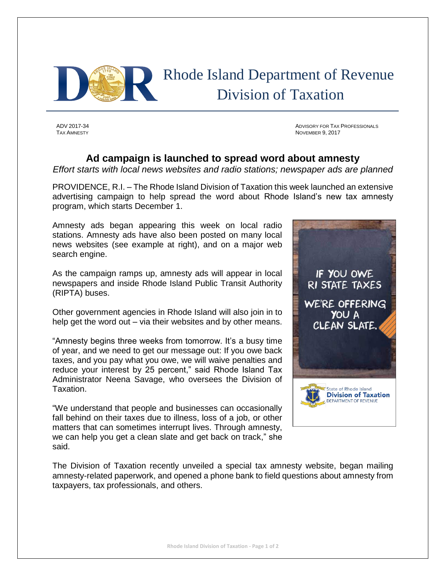

 Rhode Island Department of Revenue Division of Taxation

ADV 2017-34 ADVISORY FOR TAX PROFESSIONALS NOVEMBER 9, 2017

## **Ad campaign is launched to spread word about amnesty**

*Effort starts with local news websites and radio stations; newspaper ads are planned*

PROVIDENCE, R.I. – The Rhode Island Division of Taxation this week launched an extensive advertising campaign to help spread the word about Rhode Island's new tax amnesty program, which starts December 1.

Amnesty ads began appearing this week on local radio stations. Amnesty ads have also been posted on many local news websites (see example at right), and on a major web search engine.

As the campaign ramps up, amnesty ads will appear in local newspapers and inside Rhode Island Public Transit Authority (RIPTA) buses.

Other government agencies in Rhode Island will also join in to help get the word out – via their websites and by other means.

"Amnesty begins three weeks from tomorrow. It's a busy time of year, and we need to get our message out: If you owe back taxes, and you pay what you owe, we will waive penalties and reduce your interest by 25 percent," said Rhode Island Tax Administrator Neena Savage, who oversees the Division of Taxation.

"We understand that people and businesses can occasionally fall behind on their taxes due to illness, loss of a job, or other matters that can sometimes interrupt lives. Through amnesty, we can help you get a clean slate and get back on track," she said.



The Division of Taxation recently unveiled a special tax amnesty website, began mailing amnesty-related paperwork, and opened a phone bank to field questions about amnesty from taxpayers, tax professionals, and others.